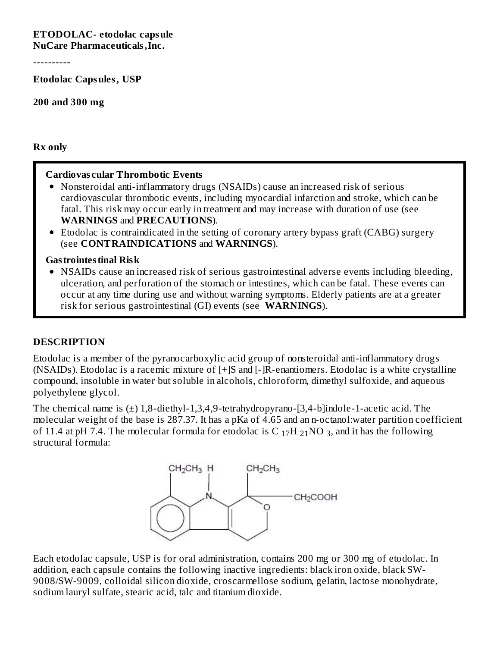**ETODOLAC- etodolac capsule NuCare Pharmaceuticals,Inc.**

----------

**Etodolac Capsules, USP**

**200 and 300 mg**

#### **Rx only**

#### **Cardiovas cular Thrombotic Events**

- Nonsteroidal anti-inflammatory drugs (NSAIDs) cause an increased risk of serious cardiovascular thrombotic events, including myocardial infarction and stroke, which can be fatal. This risk may occur early in treatment and may increase with duration of use (see **WARNINGS** and **PRECAUTIONS**).
- Etodolac is contraindicated in the setting of coronary artery bypass graft (CABG) surgery (see **CONTRAINDICATIONS** and **WARNINGS**).

#### **Gastrointestinal Risk**

• NSAIDs cause an increased risk of serious gastrointestinal adverse events including bleeding, ulceration, and perforation of the stomach or intestines, which can be fatal. These events can occur at any time during use and without warning symptoms. Elderly patients are at a greater risk for serious gastrointestinal (GI) events (see **WARNINGS**).

#### **DESCRIPTION**

Etodolac is a member of the pyranocarboxylic acid group of nonsteroidal anti-inflammatory drugs (NSAIDs). Etodolac is a racemic mixture of [+]S and [-]R-enantiomers. Etodolac is a white crystalline compound, insoluble in water but soluble in alcohols, chloroform, dimethyl sulfoxide, and aqueous polyethylene glycol.

The chemical name is (±) 1,8-diethyl-1,3,4,9-tetrahydropyrano-[3,4-b]indole-1-acetic acid. The molecular weight of the base is 287.37. It has a pKa of 4.65 and an n-octanol:water partition coefficient of 11.4 at pH 7.4. The molecular formula for etodolac is C  $_{17}$ H  $_{21}$ NO  $_3$ , and it has the following structural formula:



Each etodolac capsule, USP is for oral administration, contains 200 mg or 300 mg of etodolac. In addition, each capsule contains the following inactive ingredients: black iron oxide, black SW-9008/SW-9009, colloidal silicon dioxide, croscarmellose sodium, gelatin, lactose monohydrate, sodium lauryl sulfate, stearic acid, talc and titanium dioxide.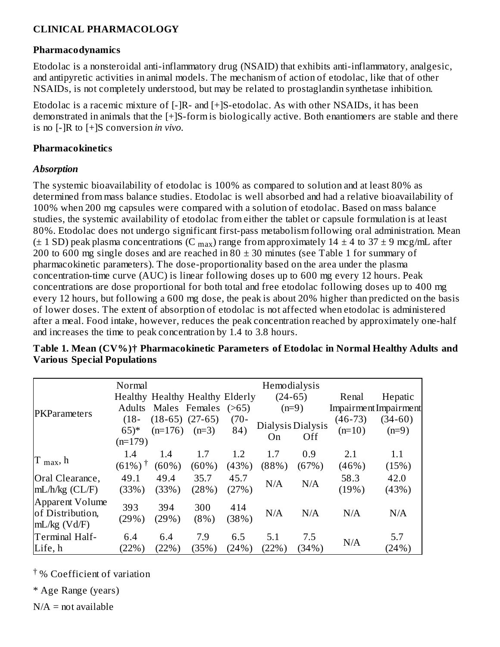# **CLINICAL PHARMACOLOGY**

#### **Pharmacodynamics**

Etodolac is a nonsteroidal anti-inflammatory drug (NSAID) that exhibits anti-inflammatory, analgesic, and antipyretic activities in animal models. The mechanism of action of etodolac, like that of other NSAIDs, is not completely understood, but may be related to prostaglandin synthetase inhibition.

Etodolac is a racemic mixture of [-]R- and [+]S-etodolac. As with other NSAIDs, it has been demonstrated in animals that the [+]S-form is biologically active. Both enantiomers are stable and there is no [-]R to [+]S conversion *in vivo*.

#### **Pharmacokinetics**

#### *Absorption*

The systemic bioavailability of etodolac is 100% as compared to solution and at least 80% as determined from mass balance studies. Etodolac is well absorbed and had a relative bioavailability of 100% when 200 mg capsules were compared with a solution of etodolac. Based on mass balance studies, the systemic availability of etodolac from either the tablet or capsule formulation is at least 80%. Etodolac does not undergo significant first-pass metabolism following oral administration. Mean ( $\pm$  1 SD) peak plasma concentrations (C  $_{\rm max}$ ) range from approximately 14  $\pm$  4 to 37  $\pm$  9 mcg/mL after 200 to 600 mg single doses and are reached in 80  $\pm$  30 minutes (see Table 1 for summary of pharmacokinetic parameters). The dose-proportionality based on the area under the plasma concentration-time curve (AUC) is linear following doses up to 600 mg every 12 hours. Peak concentrations are dose proportional for both total and free etodolac following doses up to 400 mg every 12 hours, but following a 600 mg dose, the peak is about 20% higher than predicted on the basis of lower doses. The extent of absorption of etodolac is not affected when etodolac is administered after a meal. Food intake, however, reduces the peak concentration reached by approximately one-half and increases the time to peak concentration by 1.4 to 3.8 hours.

|                  | Normal                |           |                                              |         | Hemodialysis      |       |           |                       |
|------------------|-----------------------|-----------|----------------------------------------------|---------|-------------------|-------|-----------|-----------------------|
| PKParameters     |                       |           | Healthy Healthy Healthy Elderly<br>$(24-65)$ |         |                   | Renal | Hepatic   |                       |
|                  | Adults                |           | Males Females                                | ( > 65) | $(n=9)$           |       |           | Impairment Impairment |
|                  | $(18 -$               |           | $(18-65)$ $(27-65)$                          | $(70 -$ |                   |       | $(46-73)$ | $(34-60)$             |
|                  | $65)*$                | $(n=176)$ | $(n=3)$                                      | 84)     | Dialysis Dialysis |       | $(n=10)$  | $(n=9)$               |
|                  | $(n=179)$             |           |                                              |         | On                | Off   |           |                       |
|                  | 1.4                   | 1.4       | 1.7                                          | 1.2     | 1.7               | 0.9   | 2.1       | 1.1                   |
| $T_{max}$ , h    | $(61\%)$ <sup>†</sup> | $(60\%)$  | (60%)                                        | (43%)   | (88%)             | (67%) | (46%)     | (15%)                 |
| Oral Clearance,  | 49.1                  | 49.4      | 35.7                                         | 45.7    | N/A               | N/A   | 58.3      | 42.0                  |
| $mL/h/kg$ (CL/F) | (33%)                 | (33%)     | (28%)                                        | (27%)   |                   |       | (19%)     | (43%)                 |
| Apparent Volume  | 393                   | 394       | 300                                          | 414     |                   |       |           |                       |
| of Distribution, |                       |           |                                              |         | N/A               | N/A   | N/A       | N/A                   |
| $mL/kg$ (Vd/F)   | (29%)                 | (29%)     | (8%)                                         | (38%)   |                   |       |           |                       |
| Terminal Half-   | 6.4                   | 6.4       | 7.9                                          | 6.5     | 5.1               | 7.5   | N/A       | 5.7                   |
| Life, h          | (22%)                 | (22%)     | (35%)                                        | (24%    | (22%)             | (34%) |           | (24%)                 |

#### **Table 1. Mean (CV%)† Pharmacokinetic Parameters of Etodolac in Normal Healthy Adults and Various Special Populations**

% Coefficient of variation †

\* Age Range (years)

 $N/A$  = not available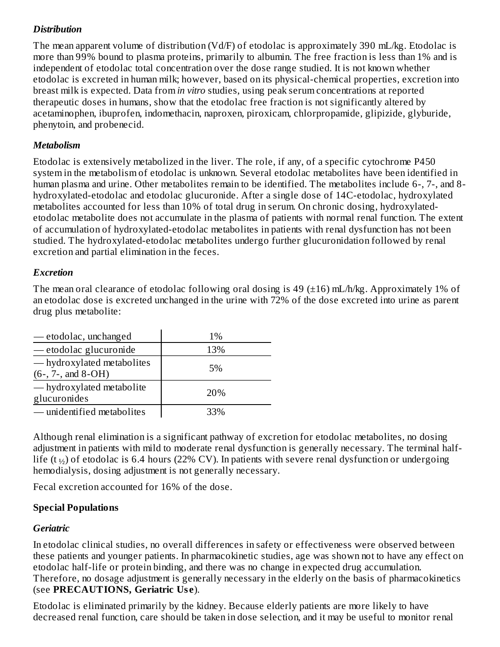# *Distribution*

The mean apparent volume of distribution (Vd/F) of etodolac is approximately 390 mL/kg. Etodolac is more than 99% bound to plasma proteins, primarily to albumin. The free fraction is less than 1% and is independent of etodolac total concentration over the dose range studied. It is not known whether etodolac is excreted in human milk; however, based on its physical-chemical properties, excretion into breast milk is expected. Data from *in vitro* studies, using peak serum concentrations at reported therapeutic doses in humans, show that the etodolac free fraction is not significantly altered by acetaminophen, ibuprofen, indomethacin, naproxen, piroxicam, chlorpropamide, glipizide, glyburide, phenytoin, and probenecid.

#### *Metabolism*

Etodolac is extensively metabolized in the liver. The role, if any, of a specific cytochrome P450 system in the metabolism of etodolac is unknown. Several etodolac metabolites have been identified in human plasma and urine. Other metabolites remain to be identified. The metabolites include 6-, 7-, and 8 hydroxylated-etodolac and etodolac glucuronide. After a single dose of 14C-etodolac, hydroxylated metabolites accounted for less than 10% of total drug in serum. On chronic dosing, hydroxylatedetodolac metabolite does not accumulate in the plasma of patients with normal renal function. The extent of accumulation of hydroxylated-etodolac metabolites in patients with renal dysfunction has not been studied. The hydroxylated-etodolac metabolites undergo further glucuronidation followed by renal excretion and partial elimination in the feces.

#### *Excretion*

The mean oral clearance of etodolac following oral dosing is 49  $(\pm 16)$  mL/h/kg. Approximately 1% of an etodolac dose is excreted unchanged in the urine with 72% of the dose excreted into urine as parent drug plus metabolite:

| — etodolac, unchanged                              | $1\%$ |
|----------------------------------------------------|-------|
| — etodolac glucuronide                             | 13%   |
| — hydroxylated metabolites<br>$(6-, 7-, and 8-OH)$ | .5%   |
| — hydroxylated metabolite<br>glucuronides          | 20%   |
| - unidentified metabolites                         |       |

Although renal elimination is a significant pathway of excretion for etodolac metabolites, no dosing adjustment in patients with mild to moderate renal dysfunction is generally necessary. The terminal halflife (t $_{\rm 1/_{\rm 2}}$ ) of etodolac is 6.4 hours (22% CV). In patients with severe renal dysfunction or undergoing hemodialysis, dosing adjustment is not generally necessary.

Fecal excretion accounted for 16% of the dose.

#### **Special Populations**

#### *Geriatric*

In etodolac clinical studies, no overall differences in safety or effectiveness were observed between these patients and younger patients. In pharmacokinetic studies, age was shown not to have any effect on etodolac half-life or protein binding, and there was no change in expected drug accumulation. Therefore, no dosage adjustment is generally necessary in the elderly on the basis of pharmacokinetics (see **PRECAUTIONS, Geriatric Us e**).

Etodolac is eliminated primarily by the kidney. Because elderly patients are more likely to have decreased renal function, care should be taken in dose selection, and it may be useful to monitor renal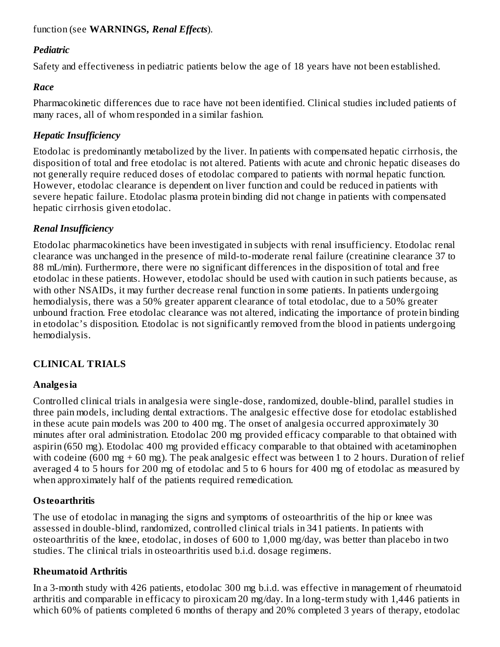## function (see **WARNINGS,** *Renal Effects*).

#### *Pediatric*

Safety and effectiveness in pediatric patients below the age of 18 years have not been established.

#### *Race*

Pharmacokinetic differences due to race have not been identified. Clinical studies included patients of many races, all of whom responded in a similar fashion.

#### *Hepatic Insufficiency*

Etodolac is predominantly metabolized by the liver. In patients with compensated hepatic cirrhosis, the disposition of total and free etodolac is not altered. Patients with acute and chronic hepatic diseases do not generally require reduced doses of etodolac compared to patients with normal hepatic function. However, etodolac clearance is dependent on liver function and could be reduced in patients with severe hepatic failure. Etodolac plasma protein binding did not change in patients with compensated hepatic cirrhosis given etodolac.

#### *Renal Insufficiency*

Etodolac pharmacokinetics have been investigated in subjects with renal insufficiency. Etodolac renal clearance was unchanged in the presence of mild-to-moderate renal failure (creatinine clearance 37 to 88 mL/min). Furthermore, there were no significant differences in the disposition of total and free etodolac in these patients. However, etodolac should be used with caution in such patients because, as with other NSAIDs, it may further decrease renal function in some patients. In patients undergoing hemodialysis, there was a 50% greater apparent clearance of total etodolac, due to a 50% greater unbound fraction. Free etodolac clearance was not altered, indicating the importance of protein binding in etodolac's disposition. Etodolac is not significantly removed from the blood in patients undergoing hemodialysis.

#### **CLINICAL TRIALS**

#### **Analgesia**

Controlled clinical trials in analgesia were single-dose, randomized, double-blind, parallel studies in three pain models, including dental extractions. The analgesic effective dose for etodolac established in these acute pain models was 200 to 400 mg. The onset of analgesia occurred approximately 30 minutes after oral administration. Etodolac 200 mg provided efficacy comparable to that obtained with aspirin (650 mg). Etodolac 400 mg provided efficacy comparable to that obtained with acetaminophen with codeine (600 mg  $+$  60 mg). The peak analgesic effect was between 1 to 2 hours. Duration of relief averaged 4 to 5 hours for 200 mg of etodolac and 5 to 6 hours for 400 mg of etodolac as measured by when approximately half of the patients required remedication.

#### **Osteoarthritis**

The use of etodolac in managing the signs and symptoms of osteoarthritis of the hip or knee was assessed in double-blind, randomized, controlled clinical trials in 341 patients. In patients with osteoarthritis of the knee, etodolac, in doses of 600 to 1,000 mg/day, was better than placebo in two studies. The clinical trials in osteoarthritis used b.i.d. dosage regimens.

#### **Rheumatoid Arthritis**

In a 3-month study with 426 patients, etodolac 300 mg b.i.d. was effective in management of rheumatoid arthritis and comparable in efficacy to piroxicam 20 mg/day. In a long-term study with 1,446 patients in which 60% of patients completed 6 months of therapy and 20% completed 3 years of therapy, etodolac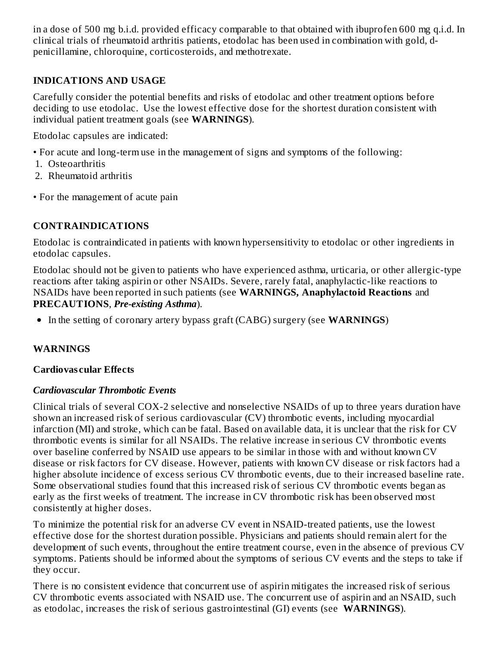in a dose of 500 mg b.i.d. provided efficacy comparable to that obtained with ibuprofen 600 mg q.i.d. In clinical trials of rheumatoid arthritis patients, etodolac has been used in combination with gold, dpenicillamine, chloroquine, corticosteroids, and methotrexate.

# **INDICATIONS AND USAGE**

Carefully consider the potential benefits and risks of etodolac and other treatment options before deciding to use etodolac. Use the lowest effective dose for the shortest duration consistent with individual patient treatment goals (see **WARNINGS**).

Etodolac capsules are indicated:

- For acute and long-term use in the management of signs and symptoms of the following:
- 1. Osteoarthritis
- 2. Rheumatoid arthritis
- For the management of acute pain

# **CONTRAINDICATIONS**

Etodolac is contraindicated in patients with known hypersensitivity to etodolac or other ingredients in etodolac capsules.

Etodolac should not be given to patients who have experienced asthma, urticaria, or other allergic-type reactions after taking aspirin or other NSAIDs. Severe, rarely fatal, anaphylactic-like reactions to NSAIDs have been reported in such patients (see **WARNINGS, Anaphylactoid Reactions** and **PRECAUTIONS**, *Pre-existing Asthma*).

In the setting of coronary artery bypass graft (CABG) surgery (see **WARNINGS**)

# **WARNINGS**

# **Cardiovas cular Effects**

# *Cardiovascular Thrombotic Events*

Clinical trials of several COX-2 selective and nonselective NSAIDs of up to three years duration have shown an increased risk of serious cardiovascular (CV) thrombotic events, including myocardial infarction (MI) and stroke, which can be fatal. Based on available data, it is unclear that the risk for CV thrombotic events is similar for all NSAIDs. The relative increase in serious CV thrombotic events over baseline conferred by NSAID use appears to be similar in those with and without known CV disease or risk factors for CV disease. However, patients with known CV disease or risk factors had a higher absolute incidence of excess serious CV thrombotic events, due to their increased baseline rate. Some observational studies found that this increased risk of serious CV thrombotic events began as early as the first weeks of treatment. The increase in CV thrombotic risk has been observed most consistently at higher doses.

To minimize the potential risk for an adverse CV event in NSAID-treated patients, use the lowest effective dose for the shortest duration possible. Physicians and patients should remain alert for the development of such events, throughout the entire treatment course, even in the absence of previous CV symptoms. Patients should be informed about the symptoms of serious CV events and the steps to take if they occur.

There is no consistent evidence that concurrent use of aspirin mitigates the increased risk of serious CV thrombotic events associated with NSAID use. The concurrent use of aspirin and an NSAID, such as etodolac, increases the risk of serious gastrointestinal (GI) events (see **WARNINGS**).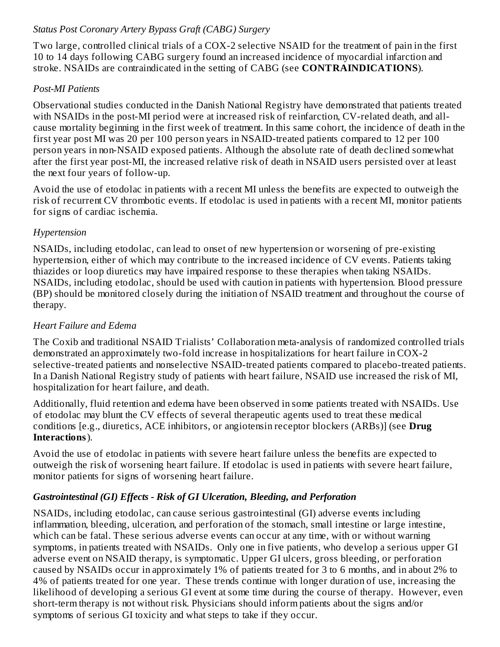# *Status Post Coronary Artery Bypass Graft (CABG) Surgery*

Two large, controlled clinical trials of a COX-2 selective NSAID for the treatment of pain in the first 10 to 14 days following CABG surgery found an increased incidence of myocardial infarction and stroke. NSAIDs are contraindicated in the setting of CABG (see **CONTRAINDICATIONS**).

## *Post-MI Patients*

Observational studies conducted in the Danish National Registry have demonstrated that patients treated with NSAIDs in the post-MI period were at increased risk of reinfarction, CV-related death, and allcause mortality beginning in the first week of treatment. In this same cohort, the incidence of death in the first year post MI was 20 per 100 person years in NSAID-treated patients compared to 12 per 100 person years in non-NSAID exposed patients. Although the absolute rate of death declined somewhat after the first year post-MI, the increased relative risk of death in NSAID users persisted over at least the next four years of follow-up.

Avoid the use of etodolac in patients with a recent MI unless the benefits are expected to outweigh the risk of recurrent CV thrombotic events. If etodolac is used in patients with a recent MI, monitor patients for signs of cardiac ischemia.

# *Hypertension*

NSAIDs, including etodolac, can lead to onset of new hypertension or worsening of pre-existing hypertension, either of which may contribute to the increased incidence of CV events. Patients taking thiazides or loop diuretics may have impaired response to these therapies when taking NSAIDs. NSAIDs, including etodolac, should be used with caution in patients with hypertension. Blood pressure (BP) should be monitored closely during the initiation of NSAID treatment and throughout the course of therapy.

# *Heart Failure and Edema*

The Coxib and traditional NSAID Trialists' Collaboration meta-analysis of randomized controlled trials demonstrated an approximately two-fold increase in hospitalizations for heart failure in COX-2 selective-treated patients and nonselective NSAID-treated patients compared to placebo-treated patients. In a Danish National Registry study of patients with heart failure, NSAID use increased the risk of MI, hospitalization for heart failure, and death.

Additionally, fluid retention and edema have been observed in some patients treated with NSAIDs. Use of etodolac may blunt the CV effects of several therapeutic agents used to treat these medical conditions [e.g., diuretics, ACE inhibitors, or angiotensin receptor blockers (ARBs)] (see **Drug Interactions**).

Avoid the use of etodolac in patients with severe heart failure unless the benefits are expected to outweigh the risk of worsening heart failure. If etodolac is used in patients with severe heart failure, monitor patients for signs of worsening heart failure.

# *Gastrointestinal (GI) Effects - Risk of GI Ulceration, Bleeding, and Perforation*

NSAIDs, including etodolac, can cause serious gastrointestinal (GI) adverse events including inflammation, bleeding, ulceration, and perforation of the stomach, small intestine or large intestine, which can be fatal. These serious adverse events can occur at any time, with or without warning symptoms, in patients treated with NSAIDs. Only one in five patients, who develop a serious upper GI adverse event on NSAID therapy, is symptomatic. Upper GI ulcers, gross bleeding, or perforation caused by NSAIDs occur in approximately 1% of patients treated for 3 to 6 months, and in about 2% to 4% of patients treated for one year. These trends continue with longer duration of use, increasing the likelihood of developing a serious GI event at some time during the course of therapy. However, even short-term therapy is not without risk. Physicians should inform patients about the signs and/or symptoms of serious GI toxicity and what steps to take if they occur.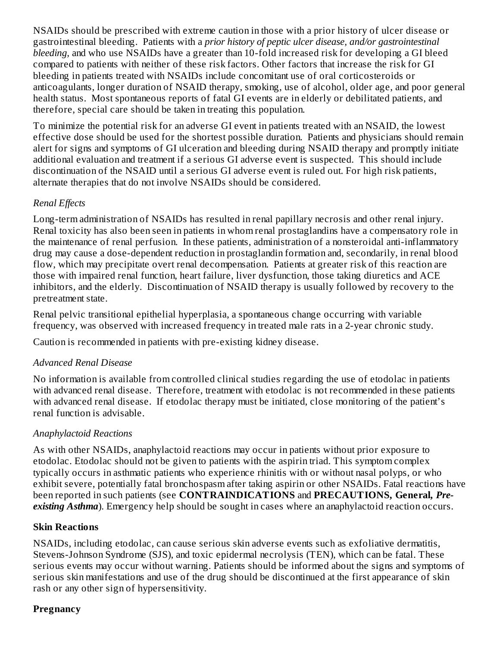NSAIDs should be prescribed with extreme caution in those with a prior history of ulcer disease or gastrointestinal bleeding. Patients with a *prior history of peptic ulcer disease, and/or gastrointestinal bleeding,* and who use NSAIDs have a greater than 10-fold increased risk for developing a GI bleed compared to patients with neither of these risk factors. Other factors that increase the risk for GI bleeding in patients treated with NSAIDs include concomitant use of oral corticosteroids or anticoagulants, longer duration of NSAID therapy, smoking, use of alcohol, older age, and poor general health status. Most spontaneous reports of fatal GI events are in elderly or debilitated patients, and therefore, special care should be taken in treating this population.

To minimize the potential risk for an adverse GI event in patients treated with an NSAID, the lowest effective dose should be used for the shortest possible duration. Patients and physicians should remain alert for signs and symptoms of GI ulceration and bleeding during NSAID therapy and promptly initiate additional evaluation and treatment if a serious GI adverse event is suspected. This should include discontinuation of the NSAID until a serious GI adverse event is ruled out. For high risk patients, alternate therapies that do not involve NSAIDs should be considered.

# *Renal Effects*

Long-term administration of NSAIDs has resulted in renal papillary necrosis and other renal injury. Renal toxicity has also been seen in patients in whom renal prostaglandins have a compensatory role in the maintenance of renal perfusion. In these patients, administration of a nonsteroidal anti-inflammatory drug may cause a dose-dependent reduction in prostaglandin formation and, secondarily, in renal blood flow, which may precipitate overt renal decompensation. Patients at greater risk of this reaction are those with impaired renal function, heart failure, liver dysfunction, those taking diuretics and ACE inhibitors, and the elderly. Discontinuation of NSAID therapy is usually followed by recovery to the pretreatment state.

Renal pelvic transitional epithelial hyperplasia, a spontaneous change occurring with variable frequency, was observed with increased frequency in treated male rats in a 2-year chronic study.

Caution is recommended in patients with pre-existing kidney disease.

# *Advanced Renal Disease*

No information is available from controlled clinical studies regarding the use of etodolac in patients with advanced renal disease. Therefore, treatment with etodolac is not recommended in these patients with advanced renal disease. If etodolac therapy must be initiated, close monitoring of the patient's renal function is advisable.

# *Anaphylactoid Reactions*

As with other NSAIDs, anaphylactoid reactions may occur in patients without prior exposure to etodolac. Etodolac should not be given to patients with the aspirin triad. This symptom complex typically occurs in asthmatic patients who experience rhinitis with or without nasal polyps, or who exhibit severe, potentially fatal bronchospasm after taking aspirin or other NSAIDs. Fatal reactions have been reported in such patients (see **CONTRAINDICATIONS** and **PRECAUTIONS, General,** *Preexisting Asthma*). Emergency help should be sought in cases where an anaphylactoid reaction occurs.

#### **Skin Reactions**

NSAIDs, including etodolac, can cause serious skin adverse events such as exfoliative dermatitis, Stevens-Johnson Syndrome (SJS), and toxic epidermal necrolysis (TEN), which can be fatal. These serious events may occur without warning. Patients should be informed about the signs and symptoms of serious skin manifestations and use of the drug should be discontinued at the first appearance of skin rash or any other sign of hypersensitivity.

# **Pregnancy**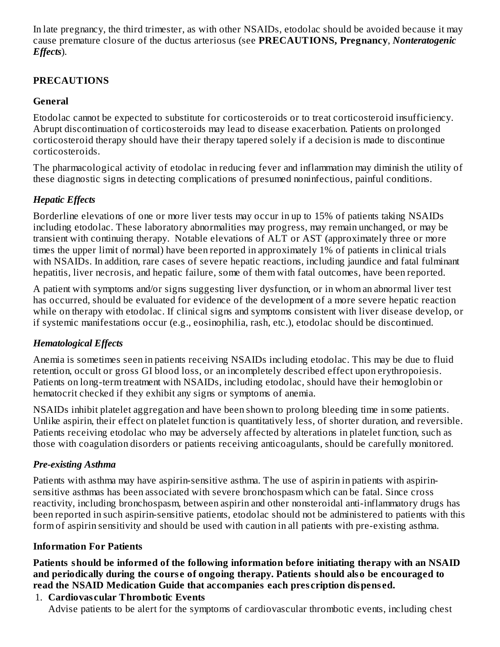In late pregnancy, the third trimester, as with other NSAIDs, etodolac should be avoided because it may cause premature closure of the ductus arteriosus (see **PRECAUTIONS, Pregnancy**, *Nonteratogenic Effects*).

# **PRECAUTIONS**

# **General**

Etodolac cannot be expected to substitute for corticosteroids or to treat corticosteroid insufficiency. Abrupt discontinuation of corticosteroids may lead to disease exacerbation. Patients on prolonged corticosteroid therapy should have their therapy tapered solely if a decision is made to discontinue corticosteroids.

The pharmacological activity of etodolac in reducing fever and inflammation may diminish the utility of these diagnostic signs in detecting complications of presumed noninfectious, painful conditions.

# *Hepatic Effects*

Borderline elevations of one or more liver tests may occur in up to 15% of patients taking NSAIDs including etodolac. These laboratory abnormalities may progress, may remain unchanged, or may be transient with continuing therapy. Notable elevations of ALT or AST (approximately three or more times the upper limit of normal) have been reported in approximately 1% of patients in clinical trials with NSAIDs. In addition, rare cases of severe hepatic reactions, including jaundice and fatal fulminant hepatitis, liver necrosis, and hepatic failure, some of them with fatal outcomes, have been reported.

A patient with symptoms and/or signs suggesting liver dysfunction, or in whom an abnormal liver test has occurred, should be evaluated for evidence of the development of a more severe hepatic reaction while on therapy with etodolac. If clinical signs and symptoms consistent with liver disease develop, or if systemic manifestations occur (e.g., eosinophilia, rash, etc.), etodolac should be discontinued.

# *Hematological Effects*

Anemia is sometimes seen in patients receiving NSAIDs including etodolac. This may be due to fluid retention, occult or gross GI blood loss, or an incompletely described effect upon erythropoiesis. Patients on long-term treatment with NSAIDs, including etodolac, should have their hemoglobin or hematocrit checked if they exhibit any signs or symptoms of anemia.

NSAIDs inhibit platelet aggregation and have been shown to prolong bleeding time in some patients. Unlike aspirin, their effect on platelet function is quantitatively less, of shorter duration, and reversible. Patients receiving etodolac who may be adversely affected by alterations in platelet function, such as those with coagulation disorders or patients receiving anticoagulants, should be carefully monitored.

# *Pre-existing Asthma*

Patients with asthma may have aspirin-sensitive asthma. The use of aspirin in patients with aspirinsensitive asthmas has been associated with severe bronchospasm which can be fatal. Since cross reactivity, including bronchospasm, between aspirin and other nonsteroidal anti-inflammatory drugs has been reported in such aspirin-sensitive patients, etodolac should not be administered to patients with this form of aspirin sensitivity and should be used with caution in all patients with pre-existing asthma.

# **Information For Patients**

#### **Patients should be informed of the following information before initiating therapy with an NSAID and periodically during the cours e of ongoing therapy. Patients should also be encouraged to read the NSAID Medication Guide that accompanies each pres cription dispens ed.**

# 1. **Cardiovas cular Thrombotic Events**

Advise patients to be alert for the symptoms of cardiovascular thrombotic events, including chest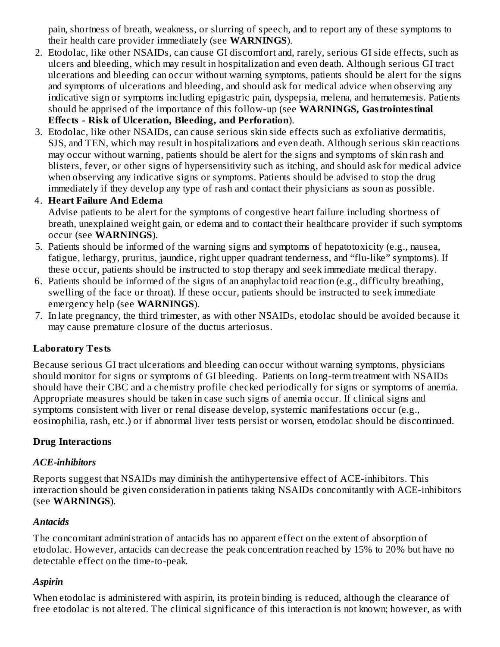pain, shortness of breath, weakness, or slurring of speech, and to report any of these symptoms to their health care provider immediately (see **WARNINGS**).

- 2. Etodolac, like other NSAIDs, can cause GI discomfort and, rarely, serious GI side effects, such as ulcers and bleeding, which may result in hospitalization and even death. Although serious GI tract ulcerations and bleeding can occur without warning symptoms, patients should be alert for the signs and symptoms of ulcerations and bleeding, and should ask for medical advice when observing any indicative sign or symptoms including epigastric pain, dyspepsia, melena, and hematemesis. Patients should be apprised of the importance of this follow-up (see **WARNINGS, Gastrointestinal Effects - Risk of Ulceration, Bleeding, and Perforation**).
- 3. Etodolac, like other NSAIDs, can cause serious skin side effects such as exfoliative dermatitis, SJS, and TEN, which may result in hospitalizations and even death. Although serious skin reactions may occur without warning, patients should be alert for the signs and symptoms of skin rash and blisters, fever, or other signs of hypersensitivity such as itching, and should ask for medical advice when observing any indicative signs or symptoms. Patients should be advised to stop the drug immediately if they develop any type of rash and contact their physicians as soon as possible.
- 4. **Heart Failure And Edema** Advise patients to be alert for the symptoms of congestive heart failure including shortness of breath, unexplained weight gain, or edema and to contact their healthcare provider if such symptoms occur (see **WARNINGS**).
- 5. Patients should be informed of the warning signs and symptoms of hepatotoxicity (e.g., nausea, fatigue, lethargy, pruritus, jaundice, right upper quadrant tenderness, and "flu-like" symptoms). If these occur, patients should be instructed to stop therapy and seek immediate medical therapy.
- 6. Patients should be informed of the signs of an anaphylactoid reaction (e.g., difficulty breathing, swelling of the face or throat). If these occur, patients should be instructed to seek immediate emergency help (see **WARNINGS**).
- 7. In late pregnancy, the third trimester, as with other NSAIDs, etodolac should be avoided because it may cause premature closure of the ductus arteriosus.

#### **Laboratory Tests**

Because serious GI tract ulcerations and bleeding can occur without warning symptoms, physicians should monitor for signs or symptoms of GI bleeding. Patients on long-term treatment with NSAIDs should have their CBC and a chemistry profile checked periodically for signs or symptoms of anemia. Appropriate measures should be taken in case such signs of anemia occur. If clinical signs and symptoms consistent with liver or renal disease develop, systemic manifestations occur (e.g., eosinophilia, rash, etc.) or if abnormal liver tests persist or worsen, etodolac should be discontinued.

#### **Drug Interactions**

#### *ACE-inhibitors*

Reports suggest that NSAIDs may diminish the antihypertensive effect of ACE-inhibitors. This interaction should be given consideration in patients taking NSAIDs concomitantly with ACE-inhibitors (see **WARNINGS**).

#### *Antacids*

The concomitant administration of antacids has no apparent effect on the extent of absorption of etodolac. However, antacids can decrease the peak concentration reached by 15% to 20% but have no detectable effect on the time-to-peak.

#### *Aspirin*

When etodolac is administered with aspirin, its protein binding is reduced, although the clearance of free etodolac is not altered. The clinical significance of this interaction is not known; however, as with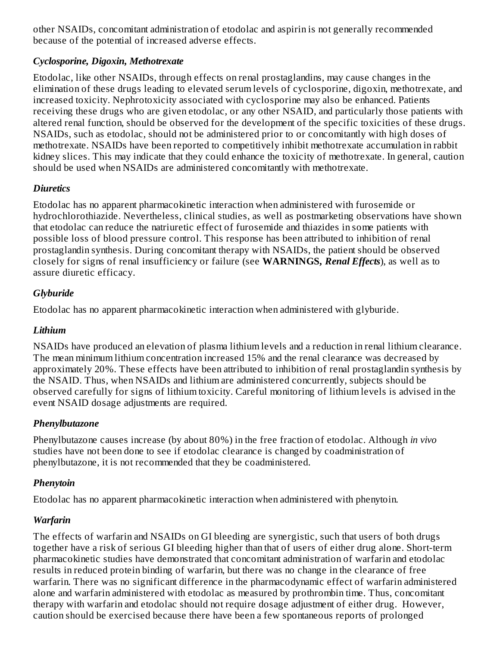other NSAIDs, concomitant administration of etodolac and aspirin is not generally recommended because of the potential of increased adverse effects.

# *Cyclosporine, Digoxin, Methotrexate*

Etodolac, like other NSAIDs, through effects on renal prostaglandins, may cause changes in the elimination of these drugs leading to elevated serum levels of cyclosporine, digoxin, methotrexate, and increased toxicity. Nephrotoxicity associated with cyclosporine may also be enhanced. Patients receiving these drugs who are given etodolac, or any other NSAID, and particularly those patients with altered renal function, should be observed for the development of the specific toxicities of these drugs. NSAIDs, such as etodolac, should not be administered prior to or concomitantly with high doses of methotrexate. NSAIDs have been reported to competitively inhibit methotrexate accumulation in rabbit kidney slices. This may indicate that they could enhance the toxicity of methotrexate. In general, caution should be used when NSAIDs are administered concomitantly with methotrexate.

# *Diuretics*

Etodolac has no apparent pharmacokinetic interaction when administered with furosemide or hydrochlorothiazide. Nevertheless, clinical studies, as well as postmarketing observations have shown that etodolac can reduce the natriuretic effect of furosemide and thiazides in some patients with possible loss of blood pressure control. This response has been attributed to inhibition of renal prostaglandin synthesis. During concomitant therapy with NSAIDs, the patient should be observed closely for signs of renal insufficiency or failure (see **WARNINGS,** *Renal Effects*), as well as to assure diuretic efficacy.

# *Glyburide*

Etodolac has no apparent pharmacokinetic interaction when administered with glyburide.

# *Lithium*

NSAIDs have produced an elevation of plasma lithium levels and a reduction in renal lithium clearance. The mean minimum lithium concentration increased 15% and the renal clearance was decreased by approximately 20%. These effects have been attributed to inhibition of renal prostaglandin synthesis by the NSAID. Thus, when NSAIDs and lithium are administered concurrently, subjects should be observed carefully for signs of lithium toxicity. Careful monitoring of lithium levels is advised in the event NSAID dosage adjustments are required.

# *Phenylbutazone*

Phenylbutazone causes increase (by about 80%) in the free fraction of etodolac. Although *in vivo* studies have not been done to see if etodolac clearance is changed by coadministration of phenylbutazone, it is not recommended that they be coadministered.

# *Phenytoin*

Etodolac has no apparent pharmacokinetic interaction when administered with phenytoin.

#### *Warfarin*

The effects of warfarin and NSAIDs on GI bleeding are synergistic, such that users of both drugs together have a risk of serious GI bleeding higher than that of users of either drug alone. Short-term pharmacokinetic studies have demonstrated that concomitant administration of warfarin and etodolac results in reduced protein binding of warfarin, but there was no change in the clearance of free warfarin. There was no significant difference in the pharmacodynamic effect of warfarin administered alone and warfarin administered with etodolac as measured by prothrombin time. Thus, concomitant therapy with warfarin and etodolac should not require dosage adjustment of either drug. However, caution should be exercised because there have been a few spontaneous reports of prolonged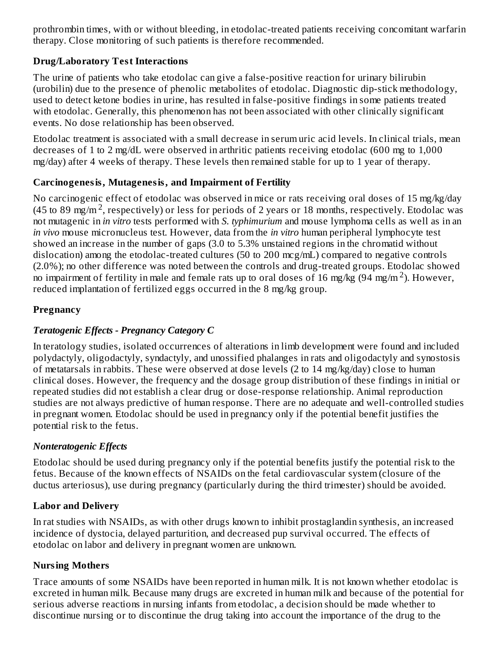prothrombin times, with or without bleeding, in etodolac-treated patients receiving concomitant warfarin therapy. Close monitoring of such patients is therefore recommended.

# **Drug/Laboratory Test Interactions**

The urine of patients who take etodolac can give a false-positive reaction for urinary bilirubin (urobilin) due to the presence of phenolic metabolites of etodolac. Diagnostic dip-stick methodology, used to detect ketone bodies in urine, has resulted in false-positive findings in some patients treated with etodolac. Generally, this phenomenon has not been associated with other clinically significant events. No dose relationship has been observed.

Etodolac treatment is associated with a small decrease in serum uric acid levels. In clinical trials, mean decreases of 1 to 2 mg/dL were observed in arthritic patients receiving etodolac (600 mg to 1,000 mg/day) after 4 weeks of therapy. These levels then remained stable for up to 1 year of therapy.

# **Carcinogenesis, Mutagenesis, and Impairment of Fertility**

No carcinogenic effect of etodolac was observed in mice or rats receiving oral doses of 15 mg/kg/day (45 to 89 mg/m<sup>2</sup>, respectively) or less for periods of 2 years or 18 months, respectively. Etodolac was not mutagenic in *in vitro* tests performed with *S. typhimurium* and mouse lymphoma cells as well as in an *in vivo* mouse micronucleus test. However, data from the *in vitro* human peripheral lymphocyte test showed an increase in the number of gaps (3.0 to 5.3% unstained regions in the chromatid without dislocation) among the etodolac-treated cultures (50 to 200 mcg/mL) compared to negative controls (2.0%); no other difference was noted between the controls and drug-treated groups. Etodolac showed no impairment of fertility in male and female rats up to oral doses of 16 mg/kg (94 mg/m <sup>2</sup>). However, reduced implantation of fertilized eggs occurred in the 8 mg/kg group.

# **Pregnancy**

# *Teratogenic Effects - Pregnancy Category C*

In teratology studies, isolated occurrences of alterations in limb development were found and included polydactyly, oligodactyly, syndactyly, and unossified phalanges in rats and oligodactyly and synostosis of metatarsals in rabbits. These were observed at dose levels (2 to 14 mg/kg/day) close to human clinical doses. However, the frequency and the dosage group distribution of these findings in initial or repeated studies did not establish a clear drug or dose-response relationship. Animal reproduction studies are not always predictive of human response. There are no adequate and well-controlled studies in pregnant women. Etodolac should be used in pregnancy only if the potential benefit justifies the potential risk to the fetus.

#### *Nonteratogenic Effects*

Etodolac should be used during pregnancy only if the potential benefits justify the potential risk to the fetus. Because of the known effects of NSAIDs on the fetal cardiovascular system (closure of the ductus arteriosus), use during pregnancy (particularly during the third trimester) should be avoided.

#### **Labor and Delivery**

In rat studies with NSAIDs, as with other drugs known to inhibit prostaglandin synthesis, an increased incidence of dystocia, delayed parturition, and decreased pup survival occurred. The effects of etodolac on labor and delivery in pregnant women are unknown.

# **Nursing Mothers**

Trace amounts of some NSAIDs have been reported in human milk. It is not known whether etodolac is excreted in human milk. Because many drugs are excreted in human milk and because of the potential for serious adverse reactions in nursing infants from etodolac, a decision should be made whether to discontinue nursing or to discontinue the drug taking into account the importance of the drug to the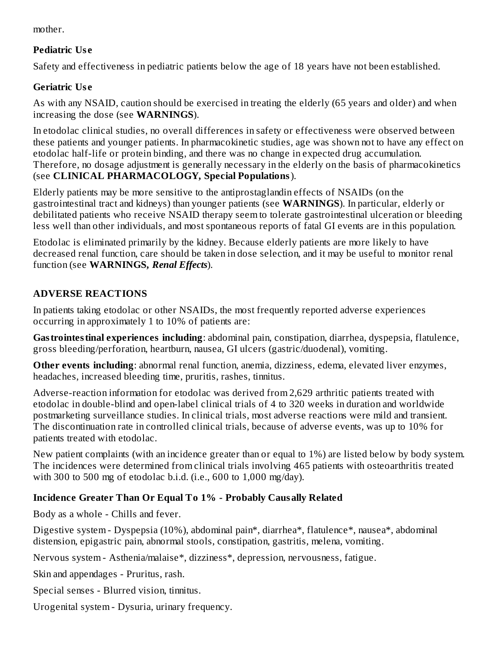mother.

# **Pediatric Us e**

Safety and effectiveness in pediatric patients below the age of 18 years have not been established.

# **Geriatric Us e**

As with any NSAID, caution should be exercised in treating the elderly (65 years and older) and when increasing the dose (see **WARNINGS**).

In etodolac clinical studies, no overall differences in safety or effectiveness were observed between these patients and younger patients. In pharmacokinetic studies, age was shown not to have any effect on etodolac half-life or protein binding, and there was no change in expected drug accumulation. Therefore, no dosage adjustment is generally necessary in the elderly on the basis of pharmacokinetics (see **CLINICAL PHARMACOLOGY, Special Populations**).

Elderly patients may be more sensitive to the antiprostaglandin effects of NSAIDs (on the gastrointestinal tract and kidneys) than younger patients (see **WARNINGS**). In particular, elderly or debilitated patients who receive NSAID therapy seem to tolerate gastrointestinal ulceration or bleeding less well than other individuals, and most spontaneous reports of fatal GI events are in this population.

Etodolac is eliminated primarily by the kidney. Because elderly patients are more likely to have decreased renal function, care should be taken in dose selection, and it may be useful to monitor renal function (see **WARNINGS,** *Renal Effects*).

# **ADVERSE REACTIONS**

In patients taking etodolac or other NSAIDs, the most frequently reported adverse experiences occurring in approximately 1 to 10% of patients are:

**Gastrointestinal experiences including**: abdominal pain, constipation, diarrhea, dyspepsia, flatulence, gross bleeding/perforation, heartburn, nausea, GI ulcers (gastric/duodenal), vomiting.

**Other events including**: abnormal renal function, anemia, dizziness, edema, elevated liver enzymes, headaches, increased bleeding time, pruritis, rashes, tinnitus.

Adverse-reaction information for etodolac was derived from 2,629 arthritic patients treated with etodolac in double-blind and open-label clinical trials of 4 to 320 weeks in duration and worldwide postmarketing surveillance studies. In clinical trials, most adverse reactions were mild and transient. The discontinuation rate in controlled clinical trials, because of adverse events, was up to 10% for patients treated with etodolac.

New patient complaints (with an incidence greater than or equal to 1%) are listed below by body system. The incidences were determined from clinical trials involving 465 patients with osteoarthritis treated with 300 to 500 mg of etodolac b.i.d. (i.e., 600 to 1,000 mg/day).

# **Incidence Greater Than Or Equal To 1% - Probably Causally Related**

Body as a whole - Chills and fever.

Digestive system - Dyspepsia (10%), abdominal pain\*, diarrhea\*, flatulence\*, nausea\*, abdominal distension, epigastric pain, abnormal stools, constipation, gastritis, melena, vomiting.

Nervous system - Asthenia/malaise\*, dizziness\*, depression, nervousness, fatigue.

Skin and appendages - Pruritus, rash.

Special senses - Blurred vision, tinnitus.

Urogenital system - Dysuria, urinary frequency.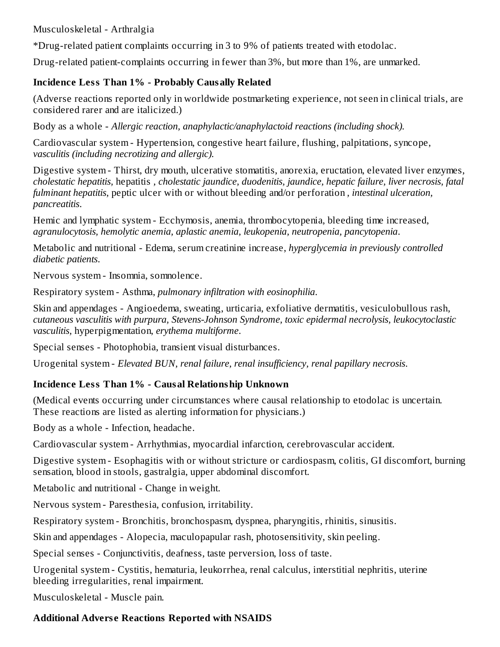Musculoskeletal - Arthralgia

\*Drug-related patient complaints occurring in 3 to 9% of patients treated with etodolac.

Drug-related patient-complaints occurring in fewer than 3%, but more than 1%, are unmarked.

# **Incidence Less Than 1% - Probably Causally Related**

(Adverse reactions reported only in worldwide postmarketing experience, not seen in clinical trials, are considered rarer and are italicized.)

Body as a whole - *Allergic reaction, anaphylactic/anaphylactoid reactions (including shock).*

Cardiovascular system - Hypertension, congestive heart failure, flushing, palpitations, syncope, *vasculitis (including necrotizing and allergic).*

Digestive system - Thirst, dry mouth, ulcerative stomatitis, anorexia, eructation, elevated liver enzymes, *cholestatic hepatitis,* hepatitis *, cholestatic jaundice, duodenitis, jaundice, hepatic failure, liver necrosis, fatal fulminant hepatitis,* peptic ulcer with or without bleeding and/or perforation *, intestinal ulceration, pancreatitis*.

Hemic and lymphatic system - Ecchymosis, anemia, thrombocytopenia, bleeding time increased, *agranulocytosis, hemolytic anemia, aplastic anemia, leukopenia, neutropenia, pancytopenia*.

Metabolic and nutritional - Edema, serum creatinine increase, *hyperglycemia in previously controlled diabetic patients*.

Nervous system - Insomnia, somnolence.

Respiratory system - Asthma, *pulmonary infiltration with eosinophilia*.

Skin and appendages - Angioedema, sweating, urticaria, exfoliative dermatitis, vesiculobullous rash, *cutaneous vasculitis with purpura, Stevens-Johnson Syndrome, toxic epidermal necrolysis, leukocytoclastic vasculitis,* hyperpigmentation, *erythema multiforme*.

Special senses - Photophobia, transient visual disturbances.

Urogenital system - *Elevated BUN, renal failure, renal insufficiency, renal papillary necrosis*.

# **Incidence Less Than 1% - Causal Relationship Unknown**

(Medical events occurring under circumstances where causal relationship to etodolac is uncertain. These reactions are listed as alerting information for physicians.)

Body as a whole - Infection, headache.

Cardiovascular system - Arrhythmias, myocardial infarction, cerebrovascular accident.

Digestive system - Esophagitis with or without stricture or cardiospasm, colitis, GI discomfort, burning sensation, blood in stools, gastralgia, upper abdominal discomfort.

Metabolic and nutritional - Change in weight.

Nervous system - Paresthesia, confusion, irritability.

Respiratory system - Bronchitis, bronchospasm, dyspnea, pharyngitis, rhinitis, sinusitis.

Skin and appendages - Alopecia, maculopapular rash, photosensitivity, skin peeling.

Special senses - Conjunctivitis, deafness, taste perversion, loss of taste.

Urogenital system - Cystitis, hematuria, leukorrhea, renal calculus, interstitial nephritis, uterine bleeding irregularities, renal impairment.

Musculoskeletal - Muscle pain.

# **Additional Advers e Reactions Reported with NSAIDS**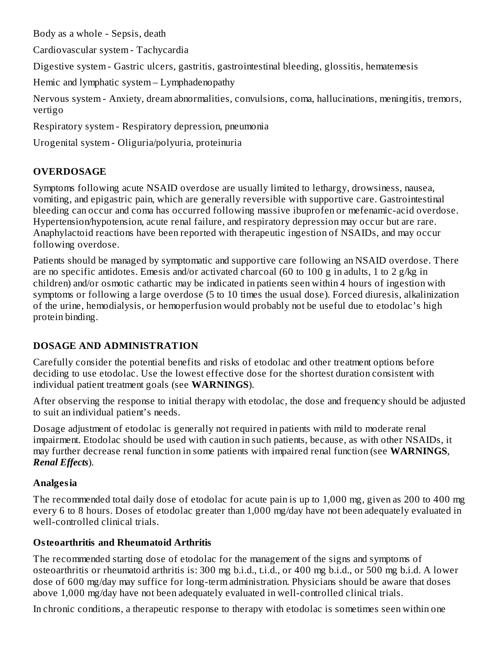Body as a whole - Sepsis, death

Cardiovascular system - Tachycardia

Digestive system - Gastric ulcers, gastritis, gastrointestinal bleeding, glossitis, hematemesis

Hemic and lymphatic system – Lymphadenopathy

Nervous system - Anxiety, dream abnormalities, convulsions, coma, hallucinations, meningitis, tremors, vertigo

Respiratory system - Respiratory depression, pneumonia

Urogenital system - Oliguria/polyuria, proteinuria

# **OVERDOSAGE**

Symptoms following acute NSAID overdose are usually limited to lethargy, drowsiness, nausea, vomiting, and epigastric pain, which are generally reversible with supportive care. Gastrointestinal bleeding can occur and coma has occurred following massive ibuprofen or mefenamic-acid overdose. Hypertension/hypotension, acute renal failure, and respiratory depression may occur but are rare. Anaphylactoid reactions have been reported with therapeutic ingestion of NSAIDs, and may occur following overdose.

Patients should be managed by symptomatic and supportive care following an NSAID overdose. There are no specific antidotes. Emesis and/or activated charcoal (60 to 100 g in adults, 1 to 2 g/kg in children) and/or osmotic cathartic may be indicated in patients seen within 4 hours of ingestion with symptoms or following a large overdose (5 to 10 times the usual dose). Forced diuresis, alkalinization of the urine, hemodialysis, or hemoperfusion would probably not be useful due to etodolac's high protein binding.

# **DOSAGE AND ADMINISTRATION**

Carefully consider the potential benefits and risks of etodolac and other treatment options before deciding to use etodolac. Use the lowest effective dose for the shortest duration consistent with individual patient treatment goals (see **WARNINGS**).

After observing the response to initial therapy with etodolac, the dose and frequency should be adjusted to suit an individual patient's needs.

Dosage adjustment of etodolac is generally not required in patients with mild to moderate renal impairment. Etodolac should be used with caution in such patients, because, as with other NSAIDs, it may further decrease renal function in some patients with impaired renal function (see **WARNINGS**, *Renal Effects*).

# **Analgesia**

The recommended total daily dose of etodolac for acute pain is up to 1,000 mg, given as 200 to 400 mg every 6 to 8 hours. Doses of etodolac greater than 1,000 mg/day have not been adequately evaluated in well-controlled clinical trials.

# **Osteoarthritis and Rheumatoid Arthritis**

The recommended starting dose of etodolac for the management of the signs and symptoms of osteoarthritis or rheumatoid arthritis is: 300 mg b.i.d., t.i.d., or 400 mg b.i.d., or 500 mg b.i.d. A lower dose of 600 mg/day may suffice for long-term administration. Physicians should be aware that doses above 1,000 mg/day have not been adequately evaluated in well-controlled clinical trials.

In chronic conditions, a therapeutic response to therapy with etodolac is sometimes seen within one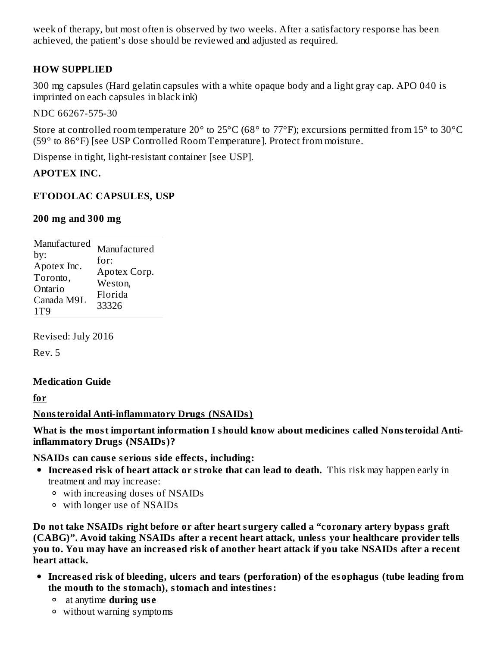week of therapy, but most often is observed by two weeks. After a satisfactory response has been achieved, the patient's dose should be reviewed and adjusted as required.

# **HOW SUPPLIED**

300 mg capsules (Hard gelatin capsules with a white opaque body and a light gray cap. APO 040 is imprinted on each capsules in black ink)

NDC 66267-575-30

Store at controlled room temperature 20° to 25°C (68° to 77°F); excursions permitted from 15° to 30°C (59° to 86°F) [see USP Controlled Room Temperature]. Protect from moisture.

Dispense in tight, light-resistant container [see USP].

#### **APOTEX INC.**

# **ETODOLAC CAPSULES, USP**

#### **200 mg and 300 mg**

Manufactured by: Apotex Inc. Toronto, Ontario Canada M9L 1T9 Manufactured for: Apotex Corp. Weston, Florida 33326

Revised: July 2016

Rev. 5

#### **Medication Guide**

**for**

**Nonsteroidal Anti-inflammatory Drugs (NSAIDs)**

#### **What is the most important information I should know about medicines called Nonsteroidal Antiinflammatory Drugs (NSAIDs)?**

**NSAIDs can caus e s erious side effects, including:**

- **Increas ed risk of heart attack or stroke that can lead to death.** This risk may happen early in treatment and may increase:
	- with increasing doses of NSAIDs
	- with longer use of NSAIDs

**Do not take NSAIDs right before or after heart surgery called a "coronary artery bypass graft (CABG)". Avoid taking NSAIDs after a recent heart attack, unless your healthcare provider tells** you to. You may have an increased risk of another heart attack if you take NSAIDs after a recent **heart attack.**

- **Increas ed risk of bleeding, ulcers and tears (perforation) of the esophagus (tube leading from the mouth to the stomach), stomach and intestines:**
	- $\circ$ at anytime **during us e**
	- without warning symptoms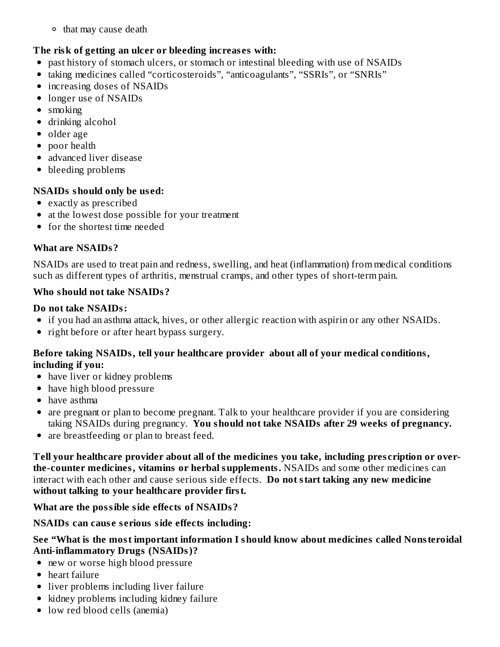<sup>o</sup> that may cause death

#### **The risk of getting an ulcer or bleeding increas es with:**

- past history of stomach ulcers, or stomach or intestinal bleeding with use of NSAIDs
- taking medicines called "corticosteroids", "anticoagulants", "SSRIs", or "SNRIs"
- increasing doses of NSAIDs
- longer use of NSAIDs
- smoking
- drinking alcohol
- older age
- poor health
- advanced liver disease
- bleeding problems

#### **NSAIDs should only be us ed:**

- exactly as prescribed
- at the lowest dose possible for your treatment
- for the shortest time needed

#### **What are NSAIDs?**

NSAIDs are used to treat pain and redness, swelling, and heat (inflammation) from medical conditions such as different types of arthritis, menstrual cramps, and other types of short-term pain.

#### **Who should not take NSAIDs?**

#### **Do not take NSAIDs:**

- if you had an asthma attack, hives, or other allergic reaction with aspirin or any other NSAIDs.
- right before or after heart bypass surgery.

#### **Before taking NSAIDs, tell your healthcare provider about all of your medical conditions, including if you:**

- have liver or kidney problems
- have high blood pressure
- have asthma
- are pregnant or plan to become pregnant. Talk to your healthcare provider if you are considering taking NSAIDs during pregnancy. **You should not take NSAIDs after 29 weeks of pregnancy.**
- are breastfeeding or plan to breast feed.

**Tell your healthcare provider about all of the medicines you take, including pres cription or overthe-counter medicines, vitamins or herbal supplements.** NSAIDs and some other medicines can interact with each other and cause serious side effects. **Do not start taking any new medicine without talking to your healthcare provider first.**

#### **What are the possible side effects of NSAIDs?**

#### **NSAIDs can caus e s erious side effects including:**

#### **See "What is the most important information I should know about medicines called Nonsteroidal Anti-inflammatory Drugs (NSAIDs)?**

- new or worse high blood pressure
- heart failure
- liver problems including liver failure
- kidney problems including kidney failure
- low red blood cells (anemia)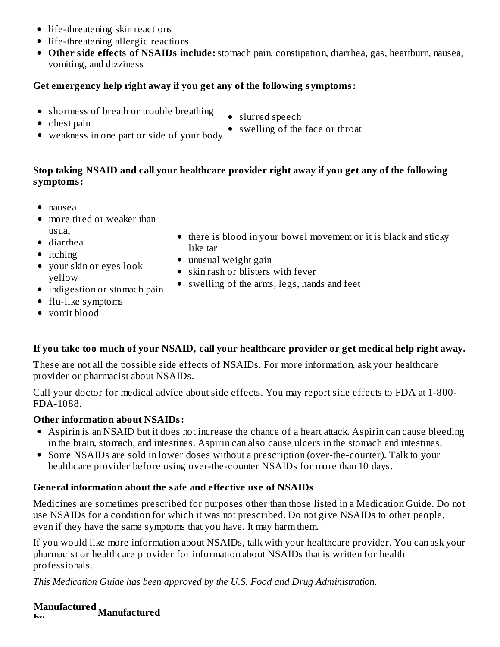- life-threatening skin reactions
- life-threatening allergic reactions
- **Other side effects of NSAIDs include:**stomach pain, constipation, diarrhea, gas, heartburn, nausea, vomiting, and dizziness

# **Get emergency help right away if you get any of the following symptoms:**

- shortness of breath or trouble breathing
- slurred speech

• chest pain

- swelling of the face or throat
- weakness in one part or side of your body

# **Stop taking NSAID and call your healthcare provider right away if you get any of the following symptoms:**

- $\bullet$ nausea
- more tired or weaker than usual
- diarrhea
- itching
- your skin or eyes look yellow
- indigestion or stomach pain
- flu-like symptoms
- vomit blood

# **If you take too much of your NSAID, call your healthcare provider or get medical help right away.**

These are not all the possible side effects of NSAIDs. For more information, ask your healthcare provider or pharmacist about NSAIDs.

Call your doctor for medical advice about side effects. You may report side effects to FDA at 1-800- FDA-1088.

# **Other information about NSAIDs:**

- Aspirin is an NSAID but it does not increase the chance of a heart attack. Aspirin can cause bleeding in the brain, stomach, and intestines. Aspirin can also cause ulcers in the stomach and intestines.
- Some NSAIDs are sold in lower doses without a prescription (over-the-counter). Talk to your healthcare provider before using over-the-counter NSAIDs for more than 10 days.

# **General information about the safe and effective us e of NSAIDs**

Medicines are sometimes prescribed for purposes other than those listed in a Medication Guide. Do not use NSAIDs for a condition for which it was not prescribed. Do not give NSAIDs to other people, even if they have the same symptoms that you have. It may harm them.

If you would like more information about NSAIDs, talk with your healthcare provider. You can ask your pharmacist or healthcare provider for information about NSAIDs that is written for health professionals.

*This Medication Guide has been approved by the U.S. Food and Drug Administration.*

- $\bullet$  there is blood in your bowel movement or it is black and sticky like tar
- unusual weight gain
- skin rash or blisters with fever
- swelling of the arms, legs, hands and feet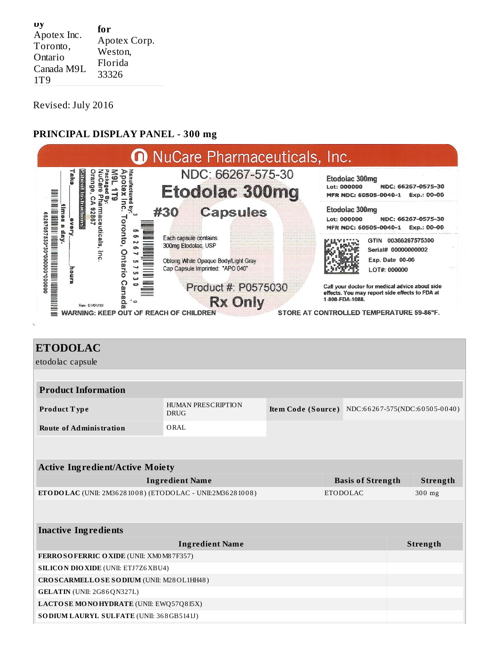**by** Apotex Inc. Toronto, Ontario Canada M9L 1T9 **for** Apotex Corp. Weston, Florida 33326

Revised: July 2016

## **PRINCIPAL DISPLAY PANEL - 300 mg**



| <b>ETODOLAC</b>                                          |          |                          |  |                                                  |        |  |  |  |
|----------------------------------------------------------|----------|--------------------------|--|--------------------------------------------------|--------|--|--|--|
| etodolac capsule                                         |          |                          |  |                                                  |        |  |  |  |
|                                                          |          |                          |  |                                                  |        |  |  |  |
| <b>Product Information</b>                               |          |                          |  |                                                  |        |  |  |  |
| HUMAN PRESCRIPTION<br>Product Type<br><b>DRUG</b>        |          |                          |  | Item Code (Source) NDC:66267-575(NDC:60505-0040) |        |  |  |  |
| <b>Route of Administration</b>                           | ORAL     |                          |  |                                                  |        |  |  |  |
|                                                          |          |                          |  |                                                  |        |  |  |  |
| <b>Active Ingredient/Active Moiety</b>                   |          |                          |  |                                                  |        |  |  |  |
|                                                          |          |                          |  | Strength                                         |        |  |  |  |
| <b>Ingredient Name</b>                                   |          | <b>Basis of Strength</b> |  |                                                  |        |  |  |  |
| ETODOLAC (UNII: 2M36281008) (ETODOLAC - UNII:2M36281008) |          | <b>ETODOLAC</b>          |  |                                                  | 300 mg |  |  |  |
|                                                          |          |                          |  |                                                  |        |  |  |  |
| <b>Inactive Ingredients</b>                              |          |                          |  |                                                  |        |  |  |  |
|                                                          | Strength |                          |  |                                                  |        |  |  |  |
| FERROSOFERRIC OXIDE (UNII: XM0 M8 7F357)                 |          |                          |  |                                                  |        |  |  |  |
| <b>SILICON DIO XIDE (UNII: ETJ7Z6 XBU4)</b>              |          |                          |  |                                                  |        |  |  |  |
| CROSCARMELLOSE SODIUM (UNII: M28OL1HH48)                 |          |                          |  |                                                  |        |  |  |  |
| GELATIN (UNII: 2G86QN327L)                               |          |                          |  |                                                  |        |  |  |  |
| LACTOSE MONOHYDRATE (UNII: EWQ57Q8I5X)                   |          |                          |  |                                                  |        |  |  |  |
| SO DIUM LAURYL SULFATE (UNII: 368GB5141J)                |          |                          |  |                                                  |        |  |  |  |